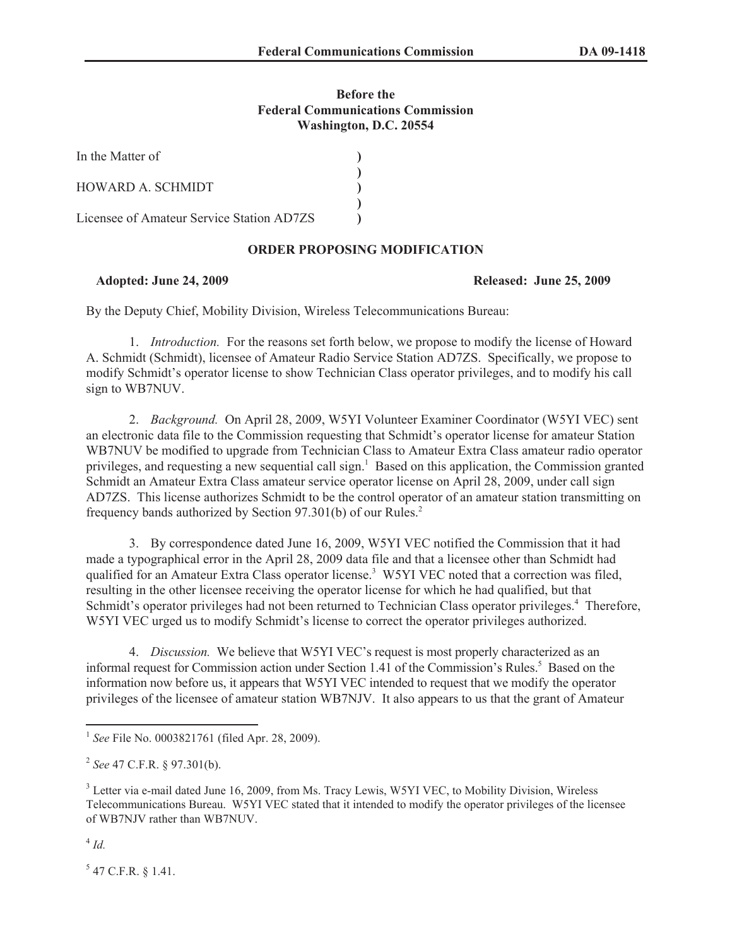## **Before the Federal Communications Commission Washington, D.C. 20554**

| In the Matter of                          |  |
|-------------------------------------------|--|
| HOWARD A. SCHMIDT                         |  |
| Licensee of Amateur Service Station AD7ZS |  |

# **ORDER PROPOSING MODIFICATION**

### **Adopted: June 24, 2009 Released: June 25, 2009**

By the Deputy Chief, Mobility Division, Wireless Telecommunications Bureau:

1. *Introduction.* For the reasons set forth below, we propose to modify the license of Howard A. Schmidt (Schmidt), licensee of Amateur Radio Service Station AD7ZS. Specifically, we propose to modify Schmidt's operator license to show Technician Class operator privileges, and to modify his call sign to WB7NUV.

2. *Background.* On April 28, 2009, W5YI Volunteer Examiner Coordinator (W5YI VEC) sent an electronic data file to the Commission requesting that Schmidt's operator license for amateur Station WB7NUV be modified to upgrade from Technician Class to Amateur Extra Class amateur radio operator privileges, and requesting a new sequential call sign.<sup>1</sup> Based on this application, the Commission granted Schmidt an Amateur Extra Class amateur service operator license on April 28, 2009, under call sign AD7ZS. This license authorizes Schmidt to be the control operator of an amateur station transmitting on frequency bands authorized by Section 97.301(b) of our Rules.<sup>2</sup>

3. By correspondence dated June 16, 2009, W5YI VEC notified the Commission that it had made a typographical error in the April 28, 2009 data file and that a licensee other than Schmidt had qualified for an Amateur Extra Class operator license.<sup>3</sup> W5YI VEC noted that a correction was filed, resulting in the other licensee receiving the operator license for which he had qualified, but that Schmidt's operator privileges had not been returned to Technician Class operator privileges.<sup>4</sup> Therefore, W5YI VEC urged us to modify Schmidt's license to correct the operator privileges authorized.

4. *Discussion.* We believe that W5YI VEC's request is most properly characterized as an informal request for Commission action under Section 1.41 of the Commission's Rules.<sup>5</sup> Based on the information now before us, it appears that W5YI VEC intended to request that we modify the operator privileges of the licensee of amateur station WB7NJV. It also appears to us that the grant of Amateur

 $^4$  *Id.* 

 $5$  47 C.F.R. § 1.41.

<sup>1</sup> *See* File No. 0003821761 (filed Apr. 28, 2009).

<sup>2</sup> *See* 47 C.F.R. § 97.301(b).

<sup>&</sup>lt;sup>3</sup> Letter via e-mail dated June 16, 2009, from Ms. Tracy Lewis, W5YI VEC, to Mobility Division, Wireless Telecommunications Bureau. W5YI VEC stated that it intended to modify the operator privileges of the licensee of WB7NJV rather than WB7NUV.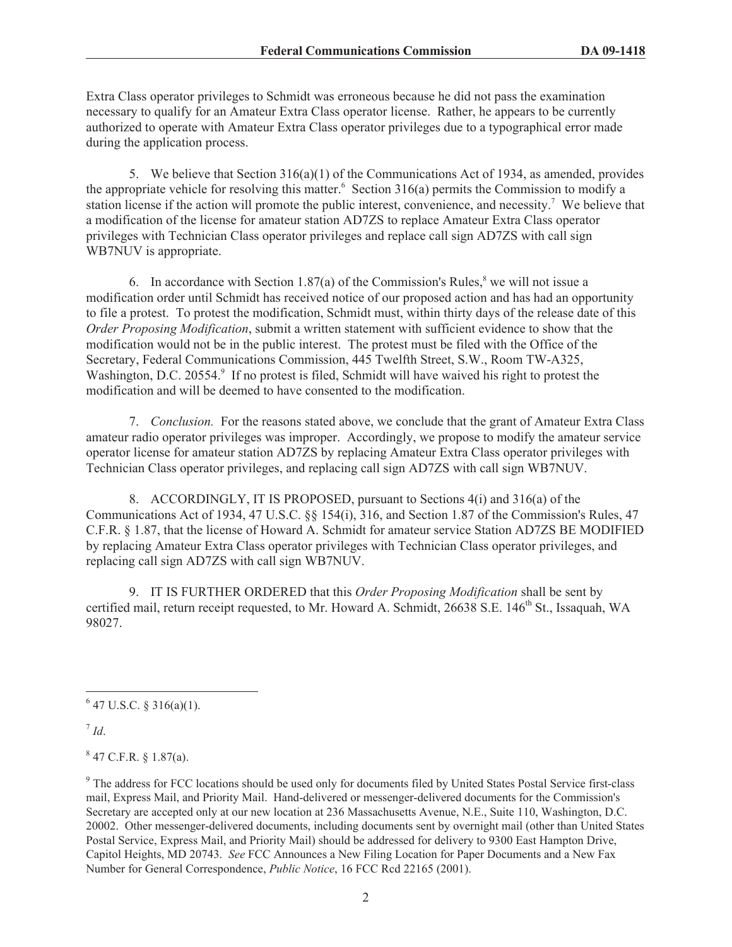Extra Class operator privileges to Schmidt was erroneous because he did not pass the examination necessary to qualify for an Amateur Extra Class operator license. Rather, he appears to be currently authorized to operate with Amateur Extra Class operator privileges due to a typographical error made during the application process.

5. We believe that Section 316(a)(1) of the Communications Act of 1934, as amended, provides the appropriate vehicle for resolving this matter.<sup>6</sup> Section 316(a) permits the Commission to modify a station license if the action will promote the public interest, convenience, and necessity.<sup>7</sup> We believe that a modification of the license for amateur station AD7ZS to replace Amateur Extra Class operator privileges with Technician Class operator privileges and replace call sign AD7ZS with call sign WB7NUV is appropriate.

6. In accordance with Section 1.87(a) of the Commission's Rules,<sup>8</sup> we will not issue a modification order until Schmidt has received notice of our proposed action and has had an opportunity to file a protest. To protest the modification, Schmidt must, within thirty days of the release date of this *Order Proposing Modification*, submit a written statement with sufficient evidence to show that the modification would not be in the public interest. The protest must be filed with the Office of the Secretary, Federal Communications Commission, 445 Twelfth Street, S.W., Room TW-A325, Washington, D.C. 20554.<sup>9</sup> If no protest is filed, Schmidt will have waived his right to protest the modification and will be deemed to have consented to the modification.

7. *Conclusion.* For the reasons stated above, we conclude that the grant of Amateur Extra Class amateur radio operator privileges was improper. Accordingly, we propose to modify the amateur service operator license for amateur station AD7ZS by replacing Amateur Extra Class operator privileges with Technician Class operator privileges, and replacing call sign AD7ZS with call sign WB7NUV.

8. ACCORDINGLY, IT IS PROPOSED, pursuant to Sections 4(i) and 316(a) of the Communications Act of 1934, 47 U.S.C. §§ 154(i), 316, and Section 1.87 of the Commission's Rules, 47 C.F.R. § 1.87, that the license of Howard A. Schmidt for amateur service Station AD7ZS BE MODIFIED by replacing Amateur Extra Class operator privileges with Technician Class operator privileges, and replacing call sign AD7ZS with call sign WB7NUV.

9. IT IS FURTHER ORDERED that this *Order Proposing Modification* shall be sent by certified mail, return receipt requested, to Mr. Howard A. Schmidt, 26638 S.E. 146<sup>th</sup> St., Issaquah, WA 98027.

7 *Id*.

 $847$  C.F.R. § 1.87(a).

<sup>9</sup> The address for FCC locations should be used only for documents filed by United States Postal Service first-class mail, Express Mail, and Priority Mail. Hand-delivered or messenger-delivered documents for the Commission's Secretary are accepted only at our new location at 236 Massachusetts Avenue, N.E., Suite 110, Washington, D.C. 20002. Other messenger-delivered documents, including documents sent by overnight mail (other than United States Postal Service, Express Mail, and Priority Mail) should be addressed for delivery to 9300 East Hampton Drive, Capitol Heights, MD 20743. *See* FCC Announces a New Filing Location for Paper Documents and a New Fax Number for General Correspondence, *Public Notice*, 16 FCC Rcd 22165 (2001).

 $6$  47 U.S.C. § 316(a)(1).